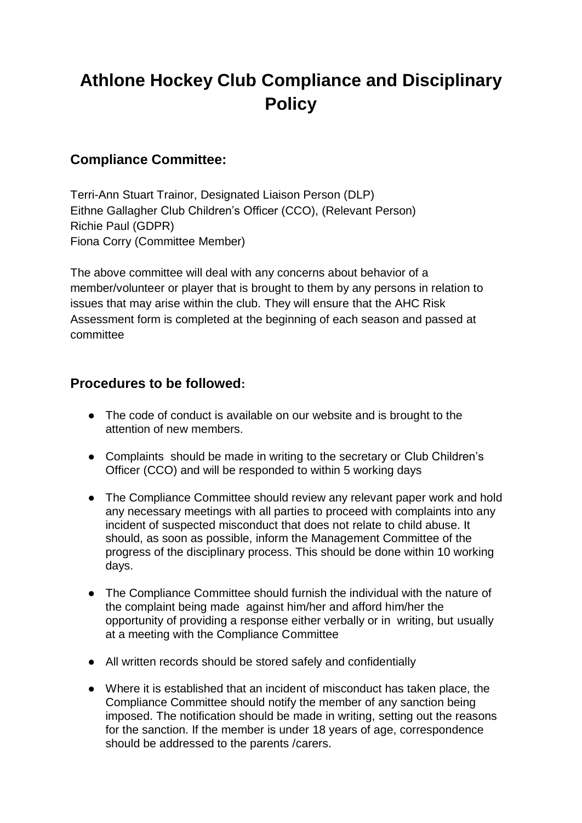# **Athlone Hockey Club Compliance and Disciplinary Policy**

### **Compliance Committee:**

Terri-Ann Stuart Trainor, Designated Liaison Person (DLP) Eithne Gallagher Club Children's Officer (CCO), (Relevant Person) Richie Paul (GDPR) Fiona Corry (Committee Member)

The above committee will deal with any concerns about behavior of a member/volunteer or player that is brought to them by any persons in relation to issues that may arise within the club. They will ensure that the AHC Risk Assessment form is completed at the beginning of each season and passed at committee

#### **Procedures to be followed:**

- The code of conduct is available on our website and is brought to the attention of new members.
- Complaints should be made in writing to the secretary or Club Children's Officer (CCO) and will be responded to within 5 working days
- The Compliance Committee should review any relevant paper work and hold any necessary meetings with all parties to proceed with complaints into any incident of suspected misconduct that does not relate to child abuse. It should, as soon as possible, inform the Management Committee of the progress of the disciplinary process. This should be done within 10 working days.
- The Compliance Committee should furnish the individual with the nature of the complaint being made against him/her and afford him/her the opportunity of providing a response either verbally or in writing, but usually at a meeting with the Compliance Committee
- All written records should be stored safely and confidentially
- Where it is established that an incident of misconduct has taken place, the Compliance Committee should notify the member of any sanction being imposed. The notification should be made in writing, setting out the reasons for the sanction. If the member is under 18 years of age, correspondence should be addressed to the parents /carers.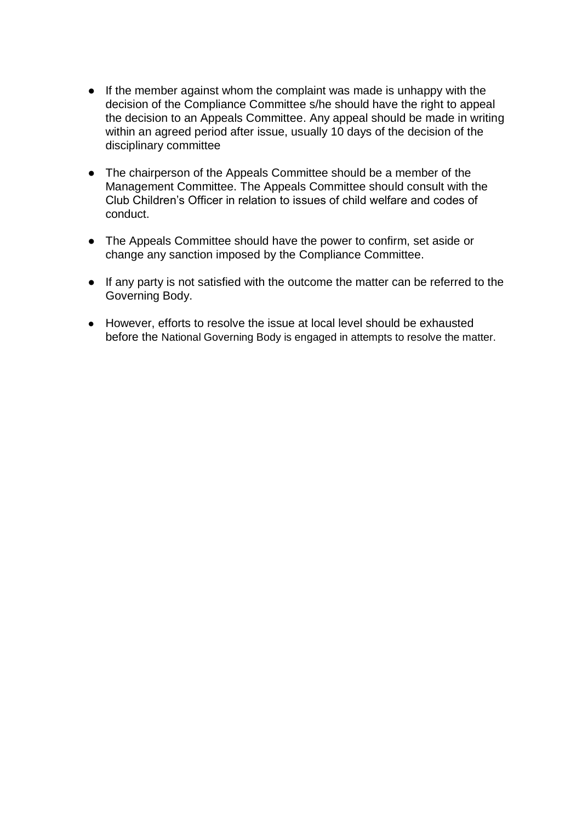- If the member against whom the complaint was made is unhappy with the decision of the Compliance Committee s/he should have the right to appeal the decision to an Appeals Committee. Any appeal should be made in writing within an agreed period after issue, usually 10 days of the decision of the disciplinary committee
- The chairperson of the Appeals Committee should be a member of the Management Committee. The Appeals Committee should consult with the Club Children's Officer in relation to issues of child welfare and codes of conduct.
- The Appeals Committee should have the power to confirm, set aside or change any sanction imposed by the Compliance Committee.
- If any party is not satisfied with the outcome the matter can be referred to the Governing Body.
- However, efforts to resolve the issue at local level should be exhausted before the National Governing Body is engaged in attempts to resolve the matter.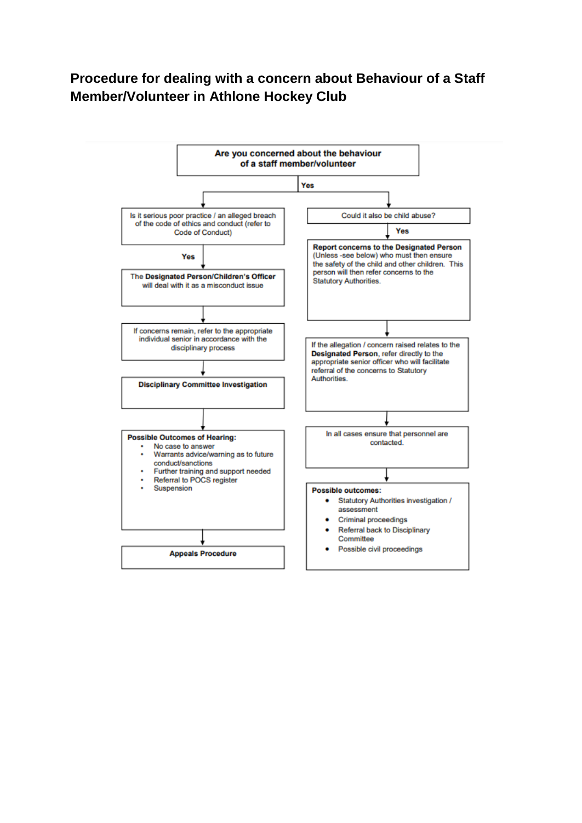## **Procedure for dealing with a concern about Behaviour of a Staff Member/Volunteer in Athlone Hockey Club**

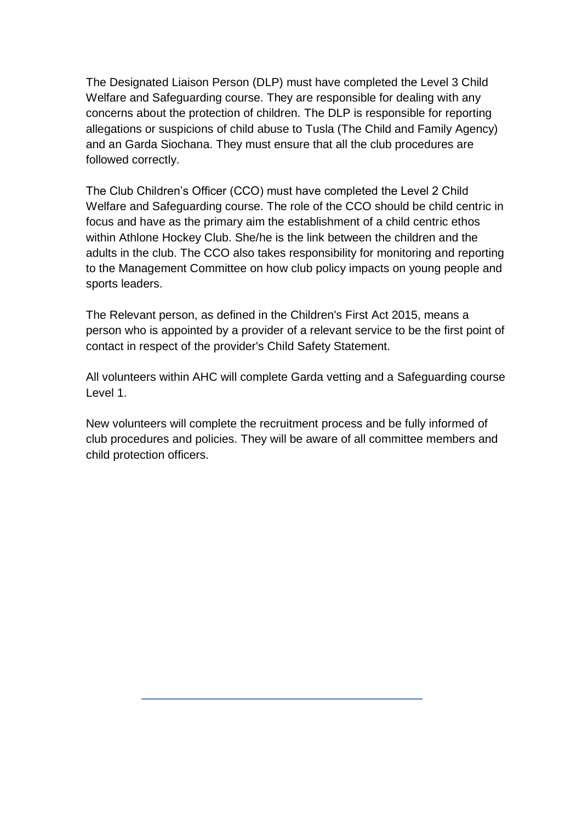The Designated Liaison Person (DLP) must have completed the Level 3 Child Welfare and Safeguarding course. They are responsible for dealing with any concerns about the protection of children. The DLP is responsible for reporting allegations or suspicions of child abuse to Tusla (The Child and Family Agency) and an Garda Siochana. They must ensure that all the club procedures are followed correctly.

The Club Children's Officer (CCO) must have completed the Level 2 Child Welfare and Safeguarding course. The role of the CCO should be child centric in focus and have as the primary aim the establishment of a child centric ethos within Athlone Hockey Club. She/he is the link between the children and the adults in the club. The CCO also takes responsibility for monitoring and reporting to the Management Committee on how club policy impacts on young people and sports leaders.

The Relevant person, as defined in the Children's First Act 2015, means a person who is appointed by a provider of a relevant service to be the first point of contact in respect of the provider's Child Safety Statement.

All volunteers within AHC will complete Garda vetting and a Safeguarding course Level 1.

New volunteers will complete the recruitment process and be fully informed of club procedures and policies. They will be aware of all committee members and child protection officers.

 $\overline{a}$